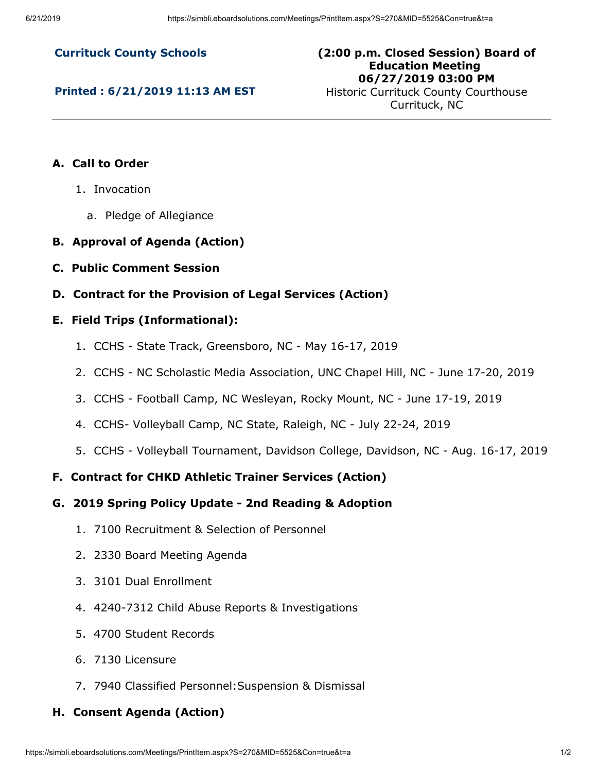**Currituck County Schools**

**Printed : 6/21/2019 11:13 AM EST**

**(2:00 p.m. Closed Session) Board of Education Meeting 06/27/2019 03:00 PM**

Historic Currituck County Courthouse Currituck, NC

# **A. Call to Order**

- 1. Invocation
	- a. Pledge of Allegiance
- **B. Approval of Agenda (Action)**
- **C. Public Comment Session**
- **D. Contract for the Provision of Legal Services (Action)**

#### **E. Field Trips (Informational):**

- 1. CCHS State Track, Greensboro, NC May 16-17, 2019
- 2. CCHS NC Scholastic Media Association, UNC Chapel Hill, NC June 17-20, 2019
- 3. CCHS Football Camp, NC Wesleyan, Rocky Mount, NC June 17-19, 2019
- 4. CCHS- Volleyball Camp, NC State, Raleigh, NC July 22-24, 2019
- 5. CCHS Volleyball Tournament, Davidson College, Davidson, NC Aug. 16-17, 2019

### **F. Contract for CHKD Athletic Trainer Services (Action)**

- **G. 2019 Spring Policy Update 2nd Reading & Adoption**
	- 1. 7100 Recruitment & Selection of Personnel
	- 2. 2330 Board Meeting Agenda
	- 3. 3101 Dual Enrollment
	- 4. 4240-7312 Child Abuse Reports & Investigations
	- 5. 4700 Student Records
	- 6. 7130 Licensure
	- 7. 7940 Classified Personnel:Suspension & Dismissal

# **H. Consent Agenda (Action)**